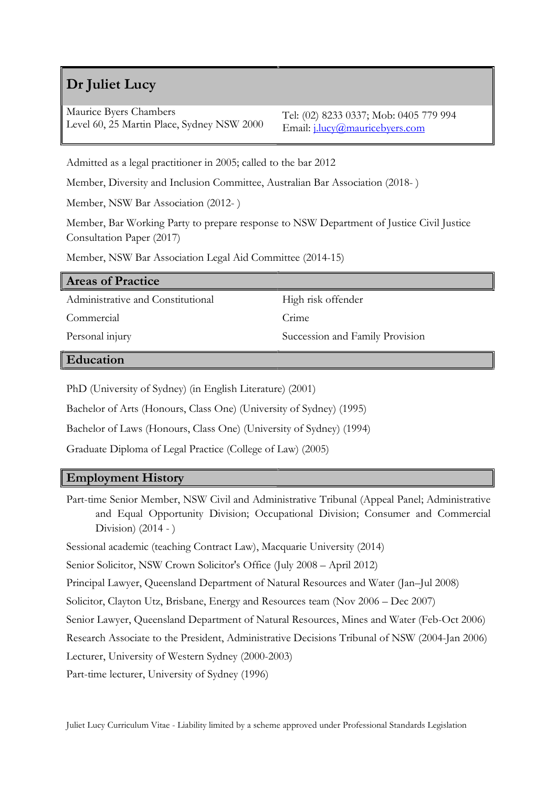# Dr Juliet Lucy

Maurice Byers Chambers Level 60, 25 Martin Place, Sydney NSW 2000

Tel: (02) 8233 0337; Mob: 0405 779 994 Email: j.lucy@mauricebyers.com

Admitted as a legal practitioner in 2005; called to the bar 2012

Member, Diversity and Inclusion Committee, Australian Bar Association (2018- )

Member, NSW Bar Association (2012- )

Member, Bar Working Party to prepare response to NSW Department of Justice Civil Justice Consultation Paper (2017)

Member, NSW Bar Association Legal Aid Committee (2014-15)

| <b>Areas of Practice</b>          |                                 |
|-----------------------------------|---------------------------------|
| Administrative and Constitutional | High risk offender              |
| Commercial                        | Crime                           |
| Personal injury                   | Succession and Family Provision |
| $\mathbf{E}$ 1 $\mathbf{E}$       |                                 |

Education

PhD (University of Sydney) (in English Literature) (2001)

Bachelor of Arts (Honours, Class One) (University of Sydney) (1995)

Bachelor of Laws (Honours, Class One) (University of Sydney) (1994)

Graduate Diploma of Legal Practice (College of Law) (2005)

#### Employment History

Part-time Senior Member, NSW Civil and Administrative Tribunal (Appeal Panel; Administrative and Equal Opportunity Division; Occupational Division; Consumer and Commercial Division) (2014 - )

Sessional academic (teaching Contract Law), Macquarie University (2014)

Senior Solicitor, NSW Crown Solicitor's Office (July 2008 – April 2012)

Principal Lawyer, Queensland Department of Natural Resources and Water (Jan–Jul 2008)

Solicitor, Clayton Utz, Brisbane, Energy and Resources team (Nov 2006 – Dec 2007)

Senior Lawyer, Queensland Department of Natural Resources, Mines and Water (Feb-Oct 2006)

Research Associate to the President, Administrative Decisions Tribunal of NSW (2004-Jan 2006)

Lecturer, University of Western Sydney (2000-2003)

Part-time lecturer, University of Sydney (1996)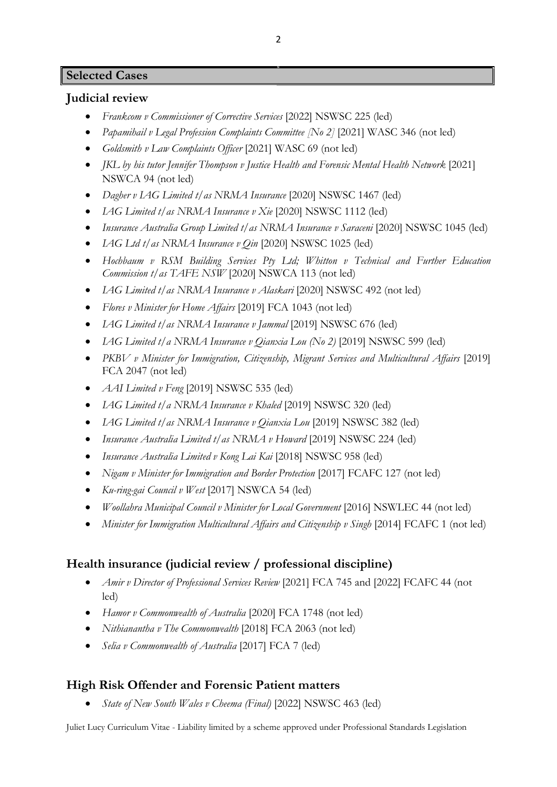## Selected Cases

### Judicial review

- Frankcom v Commissioner of Corrective Services [2022] NSWSC 225 (led)
- Papamihail v Legal Profession Complaints Committee [No 2] [2021] WASC 346 (not led)
- Goldsmith v Law Complaints Officer [2021] WASC 69 (not led)
- JKL by his tutor Jennifer Thompson v Justice Health and Forensic Mental Health Network [2021] NSWCA 94 (not led)
- Dagher v LAG Limited t/as NRMA Insurance [2020] NSWSC 1467 (led)
- LAG Limited t/as NRMA Insurance v Xie [2020] NSWSC 1112 (led)
- Insurance Australia Group Limited t/as NRMA Insurance v Saraceni [2020] NSWSC 1045 (led)
- $\bullet$  *LAG Ltd t/as NRMA Insurance v Oin* [2020] NSWSC 1025 (led)
- Hochbaum v RSM Building Services Pty Ltd; Whitton v Technical and Further Education Commission t/as TAFE NSW [2020] NSWCA 113 (not led)
- *IAG Limited t/as NRMA Insurance v Alaskari* [2020] NSWSC 492 (not led)
- Flores v Minister for Home Affairs [2019] FCA 1043 (not led)
- *IAG Limited t/as NRMA Insurance v Jammal* [2019] NSWSC 676 (led)
- IAG Limited t/a NRMA Insurance v Qianxia Lou (No 2) [2019] NSWSC 599 (led)
- PKBV v Minister for Immigration, Citizenship, Migrant Services and Multicultural Affairs [2019] FCA 2047 (not led)
- *AAI Limited v Feng* [2019] NSWSC 535 (led)
- LAG Limited t/a NRMA Insurance v Khaled [2019] NSWSC 320 (led)
- LAG Limited t/as NRMA Insurance v Oianxia Lou [2019] NSWSC 382 (led)
- Insurance Australia Limited t/as NRMA v Howard [2019] NSWSC 224 (led)
- Insurance Australia Limited v Kong Lai Kai [2018] NSWSC 958 (led)
- Nigam v Minister for Immigration and Border Protection [2017] FCAFC 127 (not led)
- Ku-ring-gai Council v West  $[2017]$  NSWCA 54 (led)
- Woollahra Municipal Council v Minister for Local Government [2016] NSWLEC 44 (not led)
- Minister for Immigration Multicultural Affairs and Citizenship v Singh [2014] FCAFC 1 (not led)

## Health insurance (judicial review / professional discipline)

- *Amir v Director of Professional Services Review* [2021] FCA 745 and [2022] FCAFC 44 (not led)
- Hamor v Commonwealth of Australia [2020] FCA 1748 (not led)
- Nithianantha v The Commonwealth [2018] FCA 2063 (not led)
- Selia v Commonwealth of Australia [2017] FCA 7 (led)

## High Risk Offender and Forensic Patient matters

State of New South Wales v Cheema (Final) [2022] NSWSC 463 (led)

Juliet Lucy Curriculum Vitae - Liability limited by a scheme approved under Professional Standards Legislation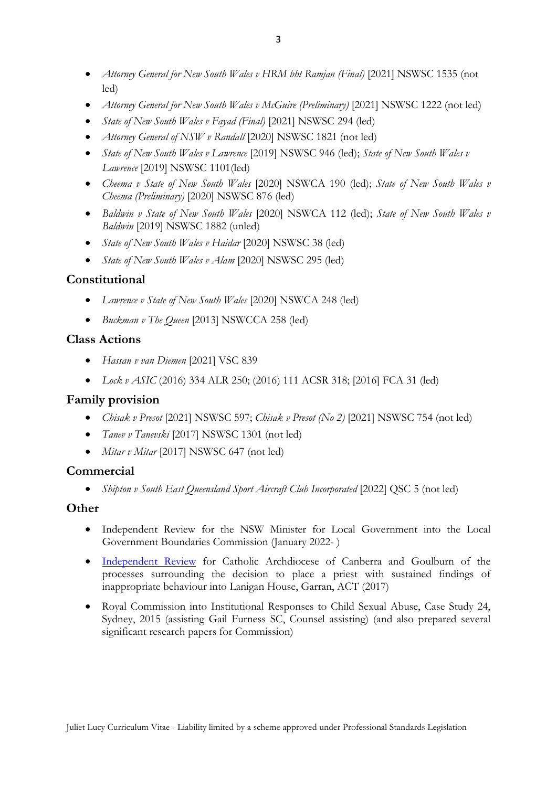- Attorney General for New South Wales v HRM bht Ramjan (Final) [2021] NSWSC 1535 (not led)
- Attorney General for New South Wales v McGuire (Preliminary) [2021] NSWSC 1222 (not led)
- State of New South Wales v Fayad (Final) [2021] NSWSC 294 (led)
- *Attorney General of NSW v Randall* [2020] NSWSC 1821 (not led)
- State of New South Wales v Lawrence [2019] NSWSC 946 (led); State of New South Wales v Lawrence [2019] NSWSC 1101(led)
- Cheema v State of New South Wales [2020] NSWCA 190 (led); State of New South Wales v Cheema (Preliminary) [2020] NSWSC 876 (led)
- Baldwin v State of New South Wales [2020] NSWCA 112 (led); State of New South Wales v Baldwin [2019] NSWSC 1882 (unled)
- State of New South Wales v Haidar [2020] NSWSC 38 (led)
- State of New South Wales v Alam [2020] NSWSC 295 (led)

## Constitutional

- Lawrence v State of New South Wales [2020] NSWCA 248 (led)
- Buckman v The Queen [2013] NSWCCA 258 (led)

### Class Actions

- Hassan v van Diemen [2021] VSC 839
- Lock v ASIC (2016) 334 ALR 250; (2016) 111 ACSR 318; [2016] FCA 31 (led)

### Family provision

- Chisak v Presot [2021] NSWSC 597; Chisak v Presot (No 2) [2021] NSWSC 754 (not led)
- Tanev v Tanevski [2017] NSWSC 1301 (not led)
- Mitar v Mitar [2017] NSWSC 647 (not led)

## **Commercial**

• Shipton v South East Queensland Sport Aircraft Club Incorporated [2022] QSC 5 (not led)

### **Other**

- Independent Review for the NSW Minister for Local Government into the Local Government Boundaries Commission (January 2022- )
- Independent Review for Catholic Archdiocese of Canberra and Goulburn of the processes surrounding the decision to place a priest with sustained findings of inappropriate behaviour into Lanigan House, Garran, ACT (2017)
- Royal Commission into Institutional Responses to Child Sexual Abuse, Case Study 24, Sydney, 2015 (assisting Gail Furness SC, Counsel assisting) (and also prepared several significant research papers for Commission)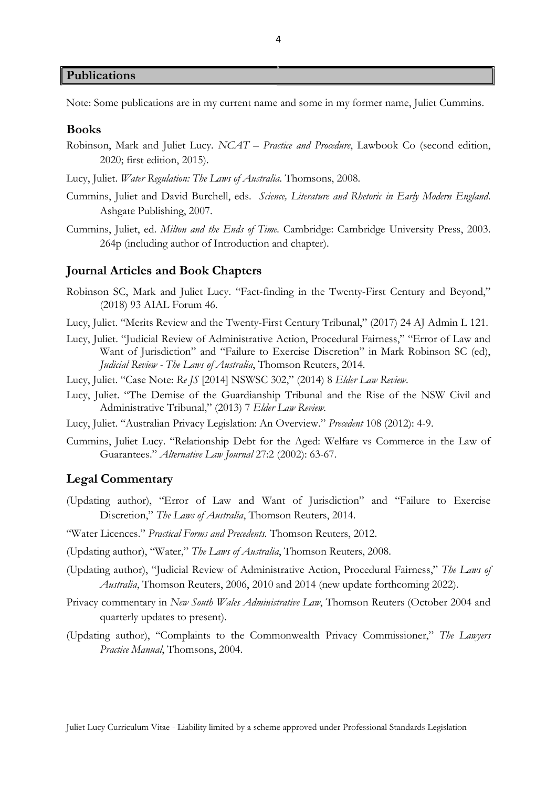Publications

Note: Some publications are in my current name and some in my former name, Juliet Cummins.

#### Books

- Robinson, Mark and Juliet Lucy. NCAT Practice and Procedure, Lawbook Co (second edition, 2020; first edition, 2015).
- Lucy, Juliet. Water Regulation: The Laws of Australia. Thomsons, 2008.
- Cummins, Juliet and David Burchell, eds. Science, Literature and Rhetoric in Early Modern England. Ashgate Publishing, 2007.
- Cummins, Juliet, ed. Milton and the Ends of Time. Cambridge: Cambridge University Press, 2003. 264p (including author of Introduction and chapter).

#### Journal Articles and Book Chapters

- Robinson SC, Mark and Juliet Lucy. "Fact-finding in the Twenty-First Century and Beyond," (2018) 93 AIAL Forum 46.
- Lucy, Juliet. "Merits Review and the Twenty-First Century Tribunal," (2017) 24 AJ Admin L 121.
- Lucy, Juliet. "Judicial Review of Administrative Action, Procedural Fairness," "Error of Law and Want of Jurisdiction" and "Failure to Exercise Discretion" in Mark Robinson SC (ed), Judicial Review - The Laws of Australia, Thomson Reuters, 2014.
- Lucy, Juliet. "Case Note: Re JS [2014] NSWSC 302," (2014) 8 Elder Law Review.
- Lucy, Juliet. "The Demise of the Guardianship Tribunal and the Rise of the NSW Civil and Administrative Tribunal," (2013) 7 Elder Law Review.
- Lucy, Juliet. "Australian Privacy Legislation: An Overview." Precedent 108 (2012): 4-9.
- Cummins, Juliet Lucy. "Relationship Debt for the Aged: Welfare vs Commerce in the Law of Guarantees." Alternative Law Journal 27:2 (2002): 63-67.

#### Legal Commentary

- (Updating author), "Error of Law and Want of Jurisdiction" and "Failure to Exercise Discretion," The Laws of Australia, Thomson Reuters, 2014.
- "Water Licences." Practical Forms and Precedents. Thomson Reuters, 2012.
- (Updating author), "Water," The Laws of Australia, Thomson Reuters, 2008.
- (Updating author), "Judicial Review of Administrative Action, Procedural Fairness," The Laws of Australia, Thomson Reuters, 2006, 2010 and 2014 (new update forthcoming 2022).
- Privacy commentary in New South Wales Administrative Law, Thomson Reuters (October 2004 and quarterly updates to present).
- (Updating author), "Complaints to the Commonwealth Privacy Commissioner," The Lawyers Practice Manual, Thomsons, 2004.